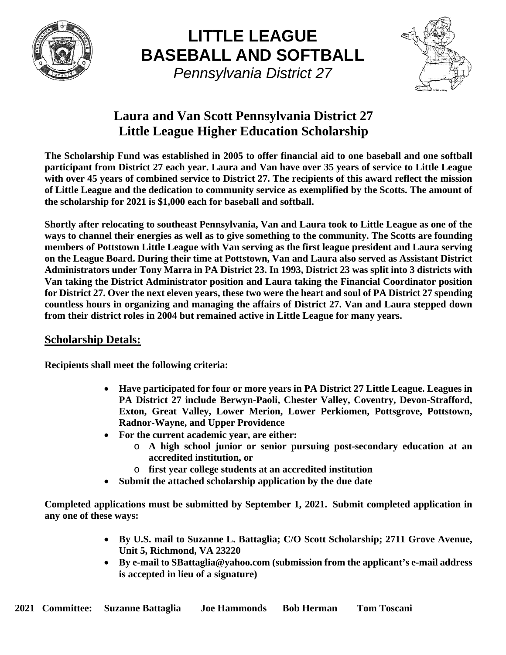

**LITTLE LEAGUE BASEBALL AND SOFTBALL** *Pennsylvania District 27*



## **Laura and Van Scott Pennsylvania District 27 Little League Higher Education Scholarship**

**The Scholarship Fund was established in 2005 to offer financial aid to one baseball and one softball participant from District 27 each year. Laura and Van have over 35 years of service to Little League with over 45 years of combined service to District 27. The recipients of this award reflect the mission of Little League and the dedication to community service as exemplified by the Scotts. The amount of the scholarship for 2021 is \$1,000 each for baseball and softball.**

**Shortly after relocating to southeast Pennsylvania, Van and Laura took to Little League as one of the ways to channel their energies as well as to give something to the community. The Scotts are founding members of Pottstown Little League with Van serving as the first league president and Laura serving on the League Board. During their time at Pottstown, Van and Laura also served as Assistant District Administrators under Tony Marra in PA District 23. In 1993, District 23 was split into 3 districts with Van taking the District Administrator position and Laura taking the Financial Coordinator position for District 27. Over the next eleven years, these two were the heart and soul of PA District 27 spending countless hours in organizing and managing the affairs of District 27. Van and Laura stepped down from their district roles in 2004 but remained active in Little League for many years.** 

#### **Scholarship Detals:**

**Recipients shall meet the following criteria:**

- **Have participated for four or more years in PA District 27 Little League. Leagues in PA District 27 include Berwyn-Paoli, Chester Valley, Coventry, Devon-Strafford, Exton, Great Valley, Lower Merion, Lower Perkiomen, Pottsgrove, Pottstown, Radnor-Wayne, and Upper Providence**
- **For the current academic year, are either:**
	- o **A high school junior or senior pursuing post-secondary education at an accredited institution, or**
	- o **first year college students at an accredited institution**
- **Submit the attached scholarship application by the due date**

**Completed applications must be submitted by September 1, 2021. Submit completed application in any one of these ways:**

- **By U.S. mail to Suzanne L. Battaglia; C/O Scott Scholarship; 2711 Grove Avenue, Unit 5, Richmond, VA 23220**
- **By e-mail to SBattaglia@yahoo.com (submission from the applicant's e-mail address is accepted in lieu of a signature)**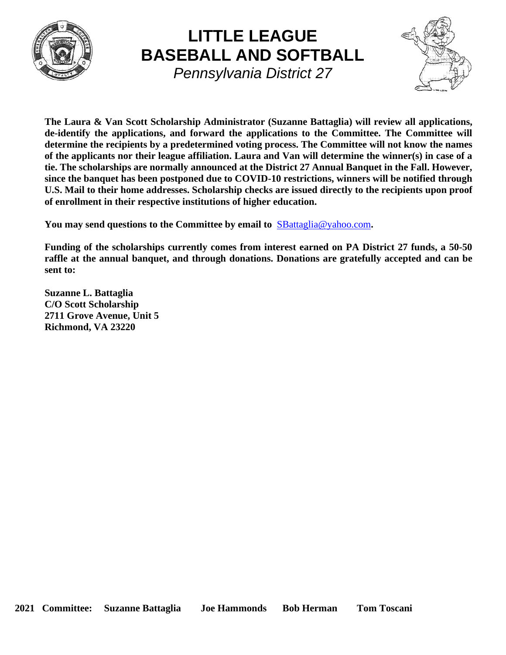

# **LITTLE LEAGUE BASEBALL AND SOFTBALL** *Pennsylvania District 27*



**The Laura & Van Scott Scholarship Administrator (Suzanne Battaglia) will review all applications, de-identify the applications, and forward the applications to the Committee. The Committee will determine the recipients by a predetermined voting process. The Committee will not know the names of the applicants nor their league affiliation. Laura and Van will determine the winner(s) in case of a tie. The scholarships are normally announced at the District 27 Annual Banquet in the Fall. However, since the banquet has been postponed due to COVID-10 restrictions, winners will be notified through U.S. Mail to their home addresses. Scholarship checks are issued directly to the recipients upon proof of enrollment in their respective institutions of higher education.**

**You may send questions to the Committee by email to** [SBattaglia@yahoo.com](mailto:SBattaglia@yahoo.com)**.**

**Funding of the scholarships currently comes from interest earned on PA District 27 funds, a 50-50 raffle at the annual banquet, and through donations. Donations are gratefully accepted and can be sent to:**

**Suzanne L. Battaglia C/O Scott Scholarship 2711 Grove Avenue, Unit 5 Richmond, VA 23220**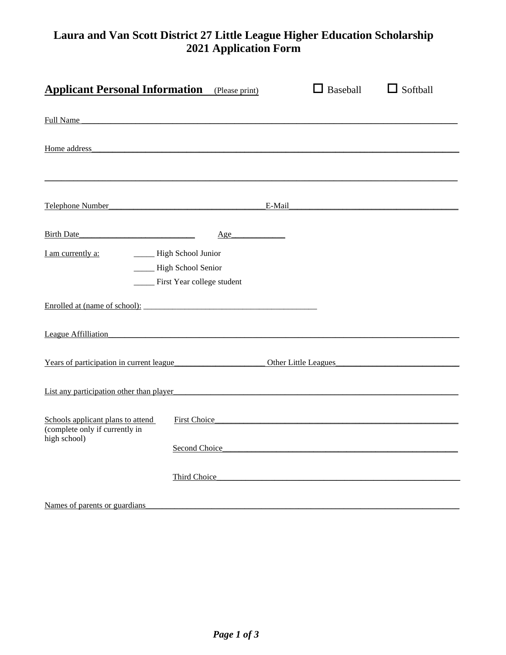### **Laura and Van Scott District 27 Little League Higher Education Scholarship 2021 Application Form**

| <b>Applicant Personal Information</b> (Please print)                                                                                                                                                                           |                                                                                                                                                                                                                                     |  | $\Box$ Baseball | $\Box$ Softball |  |
|--------------------------------------------------------------------------------------------------------------------------------------------------------------------------------------------------------------------------------|-------------------------------------------------------------------------------------------------------------------------------------------------------------------------------------------------------------------------------------|--|-----------------|-----------------|--|
| Full Name                                                                                                                                                                                                                      |                                                                                                                                                                                                                                     |  |                 |                 |  |
| Home address head and the state of the state of the state of the state of the state of the state of the state of the state of the state of the state of the state of the state of the state of the state of the state of the s |                                                                                                                                                                                                                                     |  |                 |                 |  |
| Telephone Number Communication E-Mail E-Mail                                                                                                                                                                                   |                                                                                                                                                                                                                                     |  |                 |                 |  |
| Birth Date                                                                                                                                                                                                                     | Age                                                                                                                                                                                                                                 |  |                 |                 |  |
| I am currently a:                                                                                                                                                                                                              | - High School Junior<br>_____ High School Senior<br>_____ First Year college student                                                                                                                                                |  |                 |                 |  |
|                                                                                                                                                                                                                                |                                                                                                                                                                                                                                     |  |                 |                 |  |
| League Affilliation                                                                                                                                                                                                            |                                                                                                                                                                                                                                     |  |                 |                 |  |
| Years of participation in current league Chevrolet Communication Chevrolet Chevrolet Chevrolet Chevrolet Chevrolet Chevrolet Chevrolet Chevrolet Chevrolet Chevrolet Chevrolet Chevrolet Chevrolet Chevrolet Chevrolet Chevrol |                                                                                                                                                                                                                                     |  |                 |                 |  |
| List any participation other than player                                                                                                                                                                                       |                                                                                                                                                                                                                                     |  |                 |                 |  |
| Schools applicant plans to attend<br>(complete only if currently in<br>high school)                                                                                                                                            | First Choice <b>Example 2</b> and 2 and 2 and 2 and 2 and 2 and 2 and 2 and 2 and 2 and 2 and 2 and 2 and 2 and 2 and 2 and 2 and 2 and 2 and 2 and 2 and 2 and 2 and 2 and 2 and 2 and 2 and 2 and 2 and 2 and 2 and 2 and 2 and 2 |  |                 |                 |  |
|                                                                                                                                                                                                                                |                                                                                                                                                                                                                                     |  |                 |                 |  |
|                                                                                                                                                                                                                                | Third Choice                                                                                                                                                                                                                        |  |                 |                 |  |
| Names of parents or guardians                                                                                                                                                                                                  |                                                                                                                                                                                                                                     |  |                 |                 |  |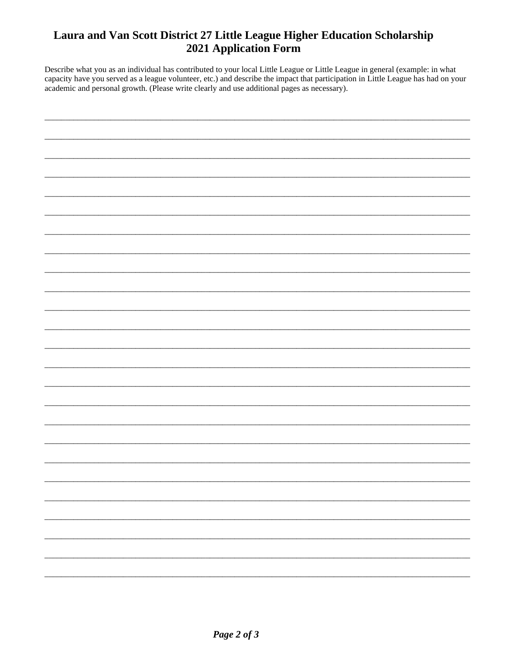### Laura and Van Scott District 27 Little League Higher Education Scholarship 2021 Application Form

Describe what you as an individual has contributed to your local Little League or Little League in general (example: in what capacity have you served as a league volunteer, etc.) and describe the impact that participation in Little League has had on your academic and personal growth. (Please write clearly and use additional pages as necessary).